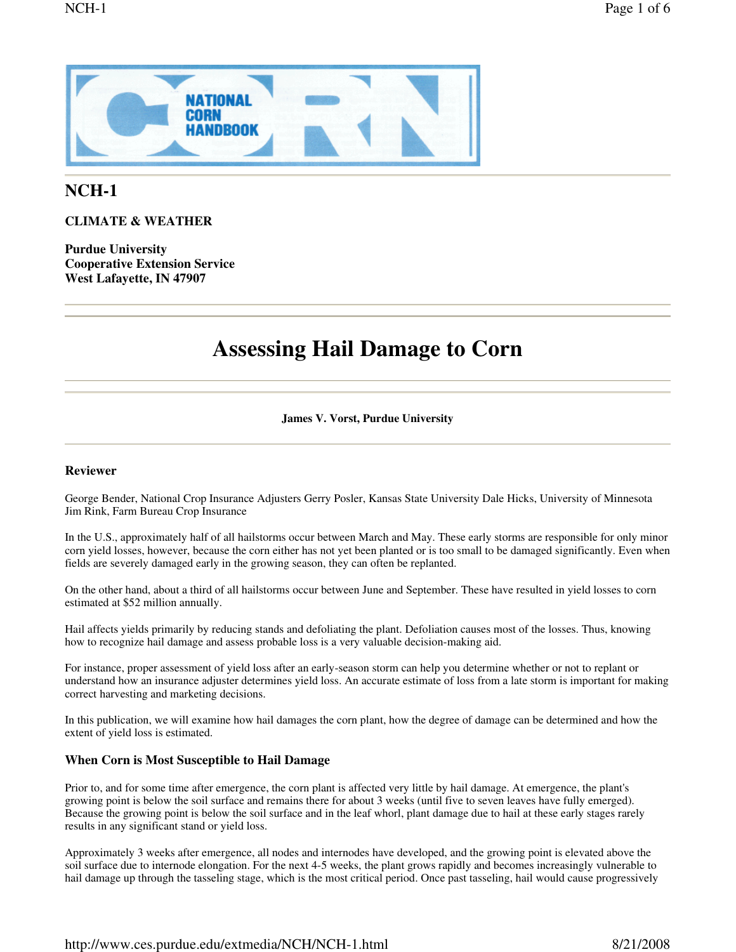

# **NCH-1**

**CLIMATE & WEATHER**

**Purdue University Cooperative Extension Service West Lafayette, IN 47907**

# **Assessing Hail Damage to Corn**

## **James V. Vorst, Purdue University**

# **Reviewer**

George Bender, National Crop Insurance Adjusters Gerry Posler, Kansas State University Dale Hicks, University of Minnesota Jim Rink, Farm Bureau Crop Insurance

In the U.S., approximately half of all hailstorms occur between March and May. These early storms are responsible for only minor corn yield losses, however, because the corn either has not yet been planted or is too small to be damaged significantly. Even when fields are severely damaged early in the growing season, they can often be replanted.

On the other hand, about a third of all hailstorms occur between June and September. These have resulted in yield losses to corn estimated at \$52 million annually.

Hail affects yields primarily by reducing stands and defoliating the plant. Defoliation causes most of the losses. Thus, knowing how to recognize hail damage and assess probable loss is a very valuable decision-making aid.

For instance, proper assessment of yield loss after an early-season storm can help you determine whether or not to replant or understand how an insurance adjuster determines yield loss. An accurate estimate of loss from a late storm is important for making correct harvesting and marketing decisions.

In this publication, we will examine how hail damages the corn plant, how the degree of damage can be determined and how the extent of yield loss is estimated.

# **When Corn is Most Susceptible to Hail Damage**

Prior to, and for some time after emergence, the corn plant is affected very little by hail damage. At emergence, the plant's growing point is below the soil surface and remains there for about 3 weeks (until five to seven leaves have fully emerged). Because the growing point is below the soil surface and in the leaf whorl, plant damage due to hail at these early stages rarely results in any significant stand or yield loss.

Approximately 3 weeks after emergence, all nodes and internodes have developed, and the growing point is elevated above the soil surface due to internode elongation. For the next 4-5 weeks, the plant grows rapidly and becomes increasingly vulnerable to hail damage up through the tasseling stage, which is the most critical period. Once past tasseling, hail would cause progressively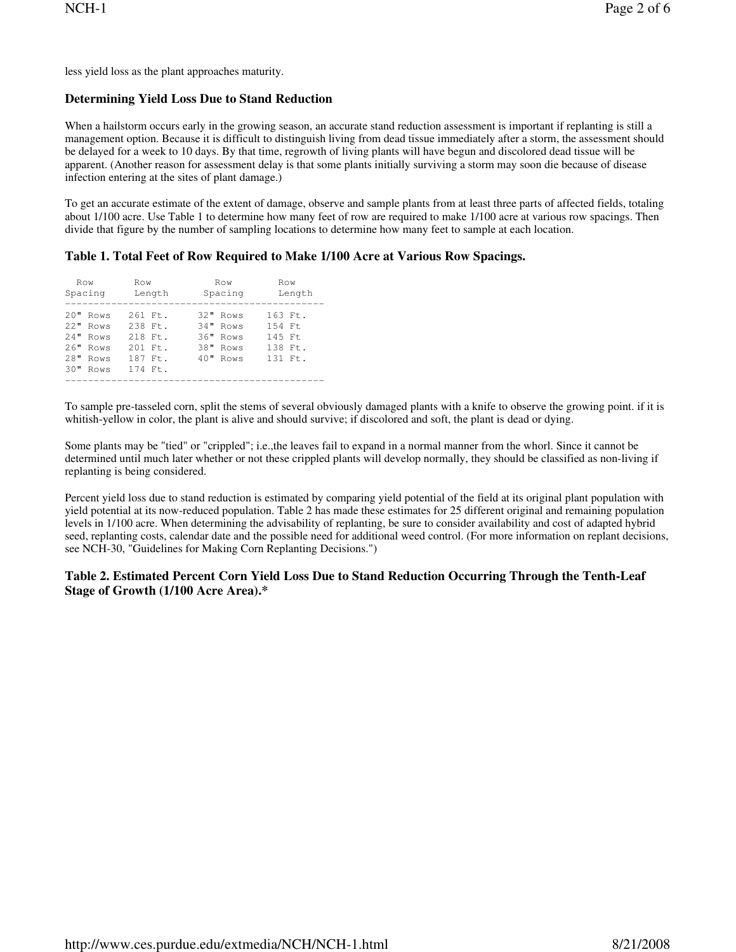less yield loss as the plant approaches maturity.

# **Determining Yield Loss Due to Stand Reduction**

When a hailstorm occurs early in the growing season, an accurate stand reduction assessment is important if replanting is still a management option. Because it is difficult to distinguish living from dead tissue immediately after a storm, the assessment should be delayed for a week to 10 days. By that time, regrowth of living plants will have begun and discolored dead tissue will be apparent. (Another reason for assessment delay is that some plants initially surviving a storm may soon die because of disease infection entering at the sites of plant damage.)

To get an accurate estimate of the extent of damage, observe and sample plants from at least three parts of affected fields, totaling about 1/100 acre. Use Table 1 to determine how many feet of row are required to make 1/100 acre at various row spacings. Then divide that figure by the number of sampling locations to determine how many feet to sample at each location.

# **Table 1. Total Feet of Row Required to Make 1/100 Acre at Various Row Spacings.**

| Row<br>Spacing                                                             |  | Row                                                                                                 | Length | Row<br>Spacing                                             | Row<br>Length                                       |  |  |  |  |  |
|----------------------------------------------------------------------------|--|-----------------------------------------------------------------------------------------------------|--------|------------------------------------------------------------|-----------------------------------------------------|--|--|--|--|--|
| $20"$ Rows<br>$22"$ Rows<br>24" Rows<br>26" Rows<br>28" Rows<br>$30"$ Rows |  | $261$ Ft.<br>$2.38$ Ft.<br>$218$ Ft.<br>$201$ F <sup>+</sup> .<br>187 Ft.<br>$174$ F <sup>+</sup> . |        | 32" Rows<br>34" Rows<br>36" Rows<br>38" Rows<br>$40"$ Rows | 163 Ft.<br>154 Ft<br>145 Ft<br>138 Ft.<br>$131$ Ft. |  |  |  |  |  |

To sample pre-tasseled corn, split the stems of several obviously damaged plants with a knife to observe the growing point. if it is whitish-yellow in color, the plant is alive and should survive; if discolored and soft, the plant is dead or dying.

Some plants may be "tied" or "crippled"; i.e.,the leaves fail to expand in a normal manner from the whorl. Since it cannot be determined until much later whether or not these crippled plants will develop normally, they should be classified as non-living if replanting is being considered.

Percent yield loss due to stand reduction is estimated by comparing yield potential of the field at its original plant population with yield potential at its now-reduced population. Table 2 has made these estimates for 25 different original and remaining population levels in 1/100 acre. When determining the advisability of replanting, be sure to consider availability and cost of adapted hybrid seed, replanting costs, calendar date and the possible need for additional weed control. (For more information on replant decisions, see NCH-30, "Guidelines for Making Corn Replanting Decisions.")

# **Table 2. Estimated Percent Corn Yield Loss Due to Stand Reduction Occurring Through the Tenth-Leaf Stage of Growth (1/100 Acre Area).\***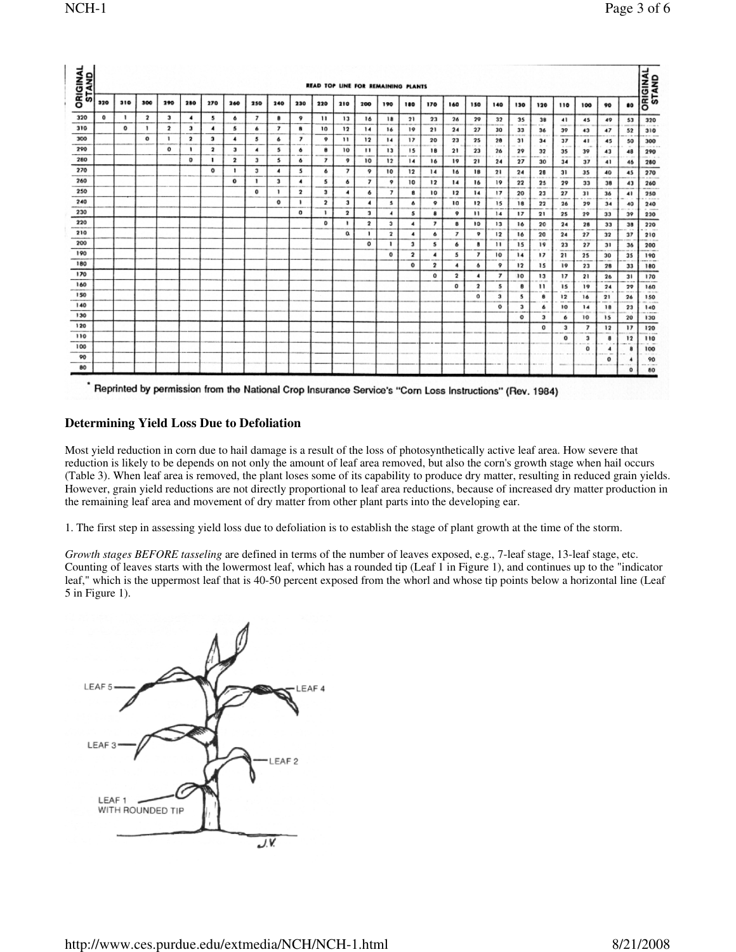| <b>ORIGINAL</b><br>STAND |            |     |              |              |                          |                         |                      |                      |     |                          |                         |                         | READ TOP LINE FOR REMAINING PLANTS |                |                 |                          |                         |                         |                                   |              |                    |                      |                                                                                                      |                      |                      | <b>ORIGINAL</b><br>STAND                  |
|--------------------------|------------|-----|--------------|--------------|--------------------------|-------------------------|----------------------|----------------------|-----|--------------------------|-------------------------|-------------------------|------------------------------------|----------------|-----------------|--------------------------|-------------------------|-------------------------|-----------------------------------|--------------|--------------------|----------------------|------------------------------------------------------------------------------------------------------|----------------------|----------------------|-------------------------------------------|
|                          | 320        | 310 | 300          | 290          | 280                      | 270                     | 260                  | 250                  | 240 | 230                      | 220                     | 210                     | 200                                | 190            | 180             | 170                      | 160                     | 150                     | 140                               | 130          | 120                | 110                  | 100                                                                                                  | 90                   | 80                   |                                           |
| 320                      | $^{\circ}$ | ,   | $\mathbf{2}$ | з            | $\overline{\phantom{a}}$ | 5                       | 6                    | $\overline{ }$       | 8   | 9                        | 11                      | $13$                    | 16                                 | 18             | 21              | 23                       | 26                      | 29                      | 32                                | 35           | 38                 | 41                   | 45                                                                                                   | 49                   | 53                   | 320                                       |
| 310                      |            | ۰   | п.           | $\mathbf{2}$ | з                        | 4                       | 5                    | 6                    | 7   | 8                        | 10                      | 12                      | 14                                 | 16             | 19              | 21                       | 24                      | 27                      | $-1$<br>30                        | ---<br>33    | $\sim$<br>36       | <b>HARLING</b><br>39 | <b>COLORADO DE</b><br>43                                                                             | 47                   | <b>AMERICA</b><br>52 | and then a<br>310                         |
| 300                      |            |     | $\Omega$     | $\mathbf{1}$ | $\overline{\mathbf{2}}$  | э                       | $\ddot{\phantom{0}}$ | 5                    | ó   | ,                        | 9                       | 11                      | 12                                 | 14             | 17<br>---       | 20                       | 23<br>$\sim$            | 25                      | 28                                | 31           | $-100 - 100$<br>34 | 37                   | 41                                                                                                   | 45                   | 50                   | <b>COLLEGE</b><br>300                     |
| 290                      |            |     |              | $\circ$      | ٠                        | $\overline{\mathbf{z}}$ | э                    | $\blacktriangleleft$ | 5   | 6                        | 8                       | 10                      | $\mathbf{1}$                       | 13             | 15              | <b>STORY</b><br>18       | 21                      | The car<br>23           | 26                                | $\sim$<br>29 | $\sim$<br>32       | 1.11<br>35           | <b>COMPANY</b><br>39                                                                                 | $\sim$<br>43         | $\sim$<br>48         | ----<br>290                               |
| 280                      |            |     |              |              | o                        |                         | 2                    | э                    | 5   | 6                        | $\boldsymbol{7}$        | o                       | 10                                 | 12             | $\overline{14}$ | 16                       | 19                      | 21                      | ALC: UNK<br>24                    | 27           | 30                 | <b>COLOR</b><br>34   | $\frac{1}{2} \left( \frac{1}{2} \right) \left( \frac{1}{2} \right) \left( \frac{1}{2} \right)$<br>37 | 41                   | 46                   | 280                                       |
| 270                      |            |     |              |              |                          | $^{\circ}$              | ٠                    | 3                    | 4   | 5                        | 6                       | $\overline{ }$          | 9                                  | 10             | 12              | 14                       | 16                      | 18                      | 21                                | 24           | 28                 | 31                   | 35                                                                                                   | 40                   | 45                   | 270                                       |
| 260                      |            |     |              |              |                          |                         | $\mathbf{o}$         | п                    | 3   | $\overline{\phantom{a}}$ | 5                       | 6                       | 7                                  | 9              | 10              | 12                       | 14                      | ١ó                      | 19                                | 22           | 25                 | 29                   | 33                                                                                                   | 38                   | 43                   | 260                                       |
| 250                      |            |     |              |              |                          |                         |                      | 0                    | 1   | $\overline{\mathbf{2}}$  | 3                       | $\blacktriangleleft$    | 6                                  | 7              | 8               | 10                       | 12                      | 14                      | 17                                | 20           | 23                 | 27                   | 31                                                                                                   | 36                   | 41                   | 250                                       |
| 240                      |            |     |              |              |                          |                         |                      |                      | o   | ٠                        | $\overline{\mathbf{2}}$ | 3                       | 4                                  | 5              | 6               | ۰                        | 10                      | 12                      | 15                                | 18           | 22                 | 26                   | 29                                                                                                   | 34                   | 40                   | 240                                       |
| 230                      |            |     |              |              |                          |                         |                      |                      |     | $\Omega$                 | $\mathbf{1}$            | $\overline{\mathbf{2}}$ | з                                  | $\overline{4}$ | 5               | 8                        | 9                       | $\cdots$                | 14                                | 17           | 21                 | 25                   | 29                                                                                                   | 33                   | 39                   | 230                                       |
| 220                      |            |     |              |              |                          |                         |                      |                      |     |                          | 0                       | ,                       | $\mathbf{2}$                       | Ĵ              | 4               | $\overline{\phantom{a}}$ | 8                       | 10                      | 13<br>$-100$                      | 16           | 20                 | 24                   | 28                                                                                                   | 33                   | 38                   | 220<br>.                                  |
| 210                      |            |     |              |              |                          |                         |                      |                      |     |                          |                         | α                       | ٠                                  | $\mathbf{2}$   | 4               | ô                        | 7                       | 9                       | 12                                | 16           | 20<br>----         | 24<br>100310-0       | 27                                                                                                   | 32                   | 37<br>$-0.001$       | 210<br><b>MOST COM</b>                    |
| 200                      |            |     |              |              |                          |                         |                      |                      |     |                          |                         |                         | 0                                  | ٠              | 3               | 5                        | 6                       | 8                       | 11                                | 15           | 19                 | 23                   | 27                                                                                                   | 31                   | 36                   | 200<br><b>THE COMPANY</b>                 |
| 190                      |            |     |              |              |                          | <b>Call Month</b>       |                      |                      |     |                          |                         |                         |                                    | $\bf{0}$       | $\mathbf 2$     | 4                        | 5                       | 7                       | 10                                | 14           | $\mathbf{17}$      | 21                   | 25                                                                                                   | 30                   | 35                   | 190<br>----                               |
| 180                      |            |     |              |              |                          |                         |                      |                      |     |                          |                         |                         |                                    |                | 0               | $\overline{\mathbf{z}}$  | 4                       | ô.                      | 9                                 | 12           | 15                 | 19                   | 23                                                                                                   | 28                   | 33                   | 180                                       |
| 170                      |            |     |              |              |                          |                         | di 4 lines           |                      |     |                          |                         |                         |                                    |                |                 | $\mathbf o$              | $\overline{\mathbf{2}}$ | $\ddot{\phantom{0}}$    | 7                                 | 10           | 13                 | 17<br>dia sua        | 21                                                                                                   | 26                   | 31                   | 170                                       |
| 160                      |            |     |              |              |                          |                         |                      |                      |     |                          |                         |                         |                                    |                |                 |                          | o                       | $\overline{\mathbf{z}}$ | 5                                 | 8            | п                  | 15                   | 19                                                                                                   | 24                   | 29                   | 160                                       |
| 150                      |            |     |              |              |                          |                         |                      |                      |     |                          |                         |                         |                                    |                |                 |                          |                         | $^{\circ}$              | $\mathbf{3}$<br><b>STATISTICS</b> | 5            | Ř                  | 12<br>--             | 16                                                                                                   | 21                   | 26                   | <b>COLLEGE</b><br>150<br><b>POLITICAL</b> |
| 140                      |            |     |              |              |                          |                         |                      |                      |     |                          |                         |                         |                                    |                |                 |                          |                         |                         | o                                 | з            | 6                  | 10                   | 14                                                                                                   | 18                   | 23                   | 140                                       |
| 130                      |            |     |              |              |                          |                         |                      |                      |     |                          |                         |                         |                                    |                |                 |                          |                         |                         |                                   | o            | з                  | 6                    | 10                                                                                                   | 15                   | 20                   | $-$<br>130                                |
| 120                      |            |     |              |              |                          |                         |                      |                      |     |                          |                         |                         |                                    |                |                 |                          |                         | <b>COLLAGE</b>          |                                   |              | $\mathbf 0$        | з                    | 7                                                                                                    | 12                   | $\mathbf{17}$        | 120                                       |
| 110                      |            |     |              |              |                          |                         |                      |                      |     |                          |                         |                         |                                    |                |                 |                          |                         |                         |                                   |              |                    | ۰                    | з                                                                                                    | 8                    | 12                   | $10 - 100$<br>110                         |
| 100                      |            |     |              |              |                          |                         |                      |                      |     |                          |                         |                         |                                    |                |                 |                          |                         |                         |                                   |              |                    |                      | $\cdots$<br>0<br>$-$                                                                                 | 4<br><b>Security</b> | <br>8                | 100                                       |
| 90                       |            |     |              |              |                          |                         |                      |                      |     |                          |                         |                         |                                    |                |                 |                          |                         |                         |                                   |              |                    |                      |                                                                                                      | 0                    |                      | 18.11333<br>90                            |
| 80                       |            |     |              |              |                          |                         |                      |                      |     |                          |                         |                         |                                    |                |                 |                          |                         |                         |                                   |              | <b>MAIL AND A</b>  | Allaham              |                                                                                                      |                      | ٥                    | <b>Contract Contract</b><br>80            |

Reprinted by permission from the National Crop Insurance Service's "Corn Loss Instructions" (Rev. 1984)

# **Determining Yield Loss Due to Defoliation**

Most yield reduction in corn due to hail damage is a result of the loss of photosynthetically active leaf area. How severe that reduction is likely to be depends on not only the amount of leaf area removed, but also the corn's growth stage when hail occurs (Table 3). When leaf area is removed, the plant loses some of its capability to produce dry matter, resulting in reduced grain yields. However, grain yield reductions are not directly proportional to leaf area reductions, because of increased dry matter production in the remaining leaf area and movement of dry matter from other plant parts into the developing ear.

1. The first step in assessing yield loss due to defoliation is to establish the stage of plant growth at the time of the storm.

*Growth stages BEFORE tasseling* are defined in terms of the number of leaves exposed, e.g., 7-leaf stage, 13-leaf stage, etc. Counting of leaves starts with the lowermost leaf, which has a rounded tip (Leaf 1 in Figure 1), and continues up to the "indicator leaf," which is the uppermost leaf that is 40-50 percent exposed from the whorl and whose tip points below a horizontal line (Leaf 5 in Figure 1).

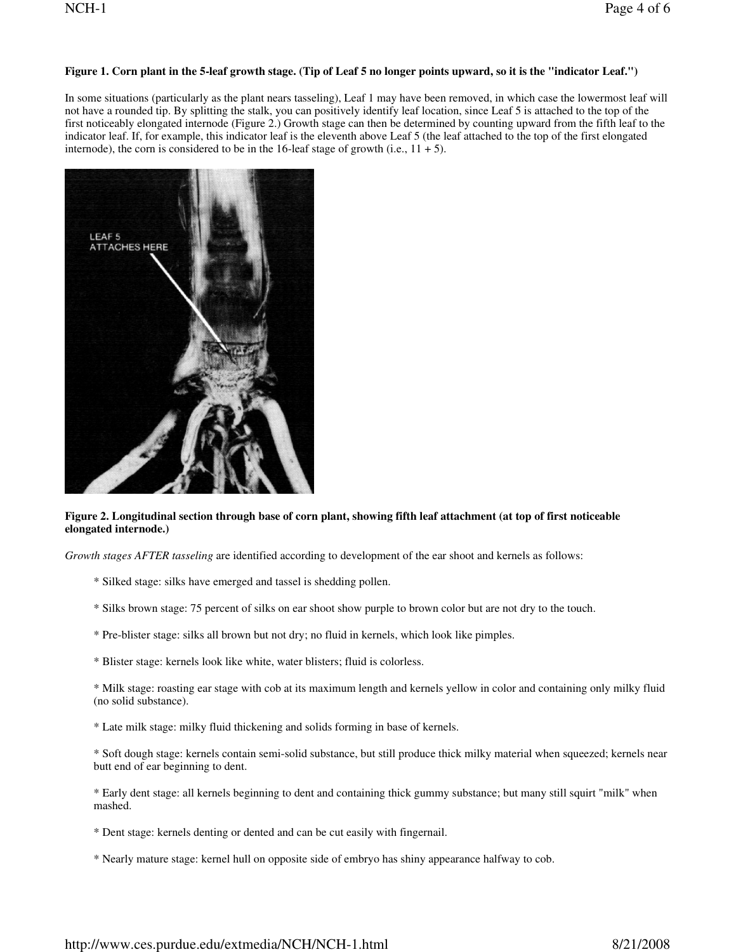## Figure 1. Corn plant in the 5-leaf growth stage. (Tip of Leaf 5 no longer points upward, so it is the "indicator Leaf.")

In some situations (particularly as the plant nears tasseling), Leaf 1 may have been removed, in which case the lowermost leaf will not have a rounded tip. By splitting the stalk, you can positively identify leaf location, since Leaf 5 is attached to the top of the first noticeably elongated internode (Figure 2.) Growth stage can then be determined by counting upward from the fifth leaf to the indicator leaf. If, for example, this indicator leaf is the eleventh above Leaf 5 (the leaf attached to the top of the first elongated internode), the corn is considered to be in the 16-leaf stage of growth (i.e.,  $11 + 5$ ).



#### Figure 2. Longitudinal section through base of corn plant, showing fifth leaf attachment (at top of first noticeable **elongated internode.)**

*Growth stages AFTER tasseling* are identified according to development of the ear shoot and kernels as follows:

- \* Silked stage: silks have emerged and tassel is shedding pollen.
- \* Silks brown stage: 75 percent of silks on ear shoot show purple to brown color but are not dry to the touch.
- \* Pre-blister stage: silks all brown but not dry; no fluid in kernels, which look like pimples.
- \* Blister stage: kernels look like white, water blisters; fluid is colorless.

\* Milk stage: roasting ear stage with cob at its maximum length and kernels yellow in color and containing only milky fluid (no solid substance).

\* Late milk stage: milky fluid thickening and solids forming in base of kernels.

\* Soft dough stage: kernels contain semi-solid substance, but still produce thick milky material when squeezed; kernels near butt end of ear beginning to dent.

- \* Early dent stage: all kernels beginning to dent and containing thick gummy substance; but many still squirt "milk" when mashed.
- \* Dent stage: kernels denting or dented and can be cut easily with fingernail.
- \* Nearly mature stage: kernel hull on opposite side of embryo has shiny appearance halfway to cob.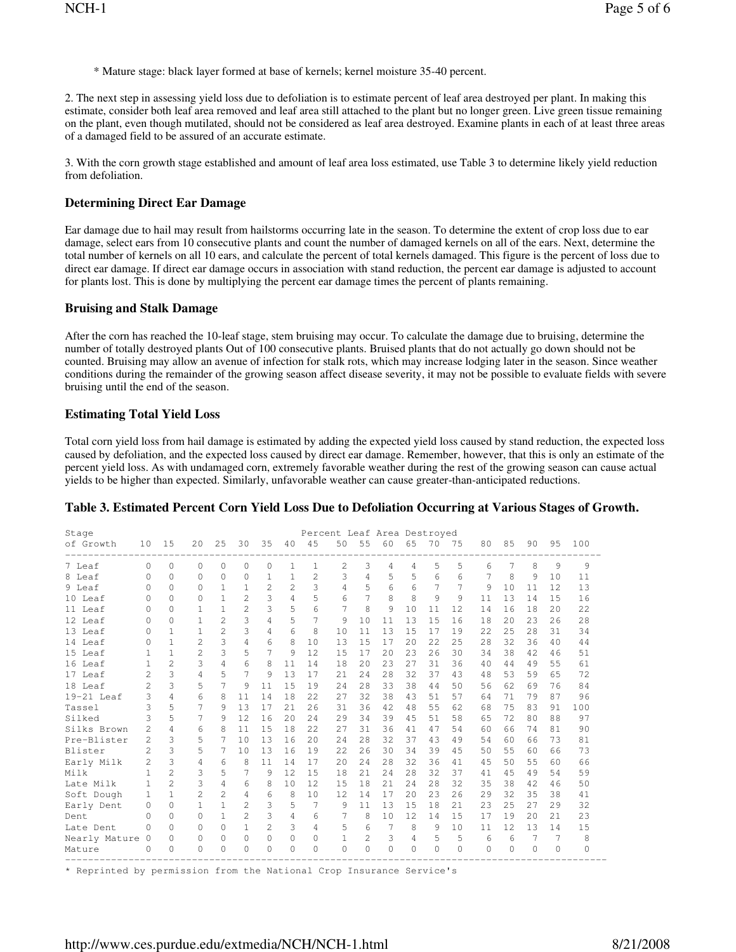\* Mature stage: black layer formed at base of kernels; kernel moisture 35-40 percent.

2. The next step in assessing yield loss due to defoliation is to estimate percent of leaf area destroyed per plant. In making this estimate, consider both leaf area removed and leaf area still attached to the plant but no longer green. Live green tissue remaining on the plant, even though mutilated, should not be considered as leaf area destroyed. Examine plants in each of at least three areas of a damaged field to be assured of an accurate estimate.

3. With the corn growth stage established and amount of leaf area loss estimated, use Table 3 to determine likely yield reduction from defoliation.

## **Determining Direct Ear Damage**

Ear damage due to hail may result from hailstorms occurring late in the season. To determine the extent of crop loss due to ear damage, select ears from 10 consecutive plants and count the number of damaged kernels on all of the ears. Next, determine the total number of kernels on all 10 ears, and calculate the percent of total kernels damaged. This figure is the percent of loss due to direct ear damage. If direct ear damage occurs in association with stand reduction, the percent ear damage is adjusted to account for plants lost. This is done by multiplying the percent ear damage times the percent of plants remaining.

#### **Bruising and Stalk Damage**

After the corn has reached the 10-leaf stage, stem bruising may occur. To calculate the damage due to bruising, determine the number of totally destroyed plants Out of 100 consecutive plants. Bruised plants that do not actually go down should not be counted. Bruising may allow an avenue of infection for stalk rots, which may increase lodging later in the season. Since weather conditions during the remainder of the growing season affect disease severity, it may not be possible to evaluate fields with severe bruising until the end of the season.

## **Estimating Total Yield Loss**

Total corn yield loss from hail damage is estimated by adding the expected yield loss caused by stand reduction, the expected loss caused by defoliation, and the expected loss caused by direct ear damage. Remember, however, that this is only an estimate of the percent yield loss. As with undamaged corn, extremely favorable weather during the rest of the growing season can cause actual yields to be higher than expected. Similarly, unfavorable weather can cause greater-than-anticipated reductions.

| Stage         |                          |                |                |                |                |                |              |               |     |                |     | Percent Leaf Area Destroyed |          |    |     |         |          |     |     |
|---------------|--------------------------|----------------|----------------|----------------|----------------|----------------|--------------|---------------|-----|----------------|-----|-----------------------------|----------|----|-----|---------|----------|-----|-----|
| of Growth     | 10                       | 15             | 20             | 25             | 30             | 35             | 40           | 45            | 50  | 55             | 60  | 65                          | 70       | 75 | 80  | 85      | 90       | 95  | 100 |
| 7 Leaf        | $\Omega$                 | $\Omega$       | $\Omega$       | 0              | $\Omega$       | 0              | $\mathbf{1}$ | $\mathbf{1}$  | 2   | 3              | 4   | 4                           | 5        | 5  | 6   | 7       | 8        | 9   | 9   |
| 8 Leaf        | $\Omega$                 | $\bigcap$      | 0              | $\Omega$       | $\Omega$       | 1              | 1            | $\mathcal{D}$ | 3   | 4              | 5   | 5                           | 6        | 6  | 7   | 8       | 9        | 10  | 11  |
| 9 Leaf        | $\Omega$                 | $\bigcap$      | $\Omega$       | 1              | 1              | $\overline{2}$ | 2            | 3             | 4   | 5              | 6   | 6                           |          | 7  | 9   | 10      | 11       | 12. | 13  |
| 10 Leaf       | $\Omega$                 | $\bigcap$      | 0              | $\mathbf{1}$   | $\overline{2}$ | 3              | 4            | 5             | 6   |                | 8   | 8                           | 9        | 9  | 11  | 13      | 14       | 15  | 16  |
| 11 Leaf       | $\Omega$                 | $\bigcap$      | 1              | $\mathbf{1}$   | $\overline{2}$ | 3              | 5            | 6             | 7   | 8              | 9   | 10                          | 11       | 12 | 14  | 16      | 18       | 20  | 22  |
| 12 Leaf       | $\Omega$                 | $\cap$         | 1              | $\overline{c}$ | 3              | 4              | 5            | 7             | 9   | 10             | 11  | 13                          | 1.5      | 16 | 18  | 2.0     | 23       | 26  | 28  |
| 13 Leaf       | $\Omega$                 | 1              | 1              | $\overline{2}$ | 3              | 4              | 6            | 8             | 10  | 11             | 13  | 1.5                         | 17       | 19 | 2.2 | 2.5     | 2.8      | 31  | 34  |
| 14 Leaf       | U                        | 1              | 2              | 3              | 4              | 6              | 8            | 10            | 1.3 | 1.5            | 17  | 2.0                         | 2.2.     | 25 | 2.8 | 32      | 36       | 40  | 44  |
| 15 Leaf       |                          | 1              | $\overline{c}$ | 3              | 5              | 7              | 9            | 12            | 15  | 17             | 20  | 23                          | 2.6      | 30 | 34  | 38      | 42.      | 46  | 51  |
| 16 Leaf       |                          | $\overline{c}$ | 3              | 4              | 6              | 8              | 11           | 14            | 18  | 2.0            | 2.3 | 27                          | 31       | 36 | 40  | 44      | 49       | 55  | 61  |
| 17 Leaf       | $\mathcal{D}$            | 3              | 4              | 5              | 7              | 9              | 13           | 17            | 21  | 2.4            | 2.8 | 32                          | 37       | 43 | 48  | 53      | 59       | 65  | 72  |
| 18 Leaf       | $\overline{\phantom{a}}$ | $\mathcal{L}$  | 5              | 7              | 9              | 11             | 1.5          | 19            | 24  | 28             | 33  | 38                          | 44       | 50 | 56  | 62      | 69       | 76  | 84  |
| $19-21$ Leaf  | 3                        | 4              | 6              | 8              | 11             | 14             | 18           | 2.2.          | 2.7 | 32             | 38  | 43                          | .51      | 57 | 64  | 71      | 79       | 87  | 96  |
| Tassel        | 3                        | 5              | 7              | 9              | 1.3            | 17             | 2.1          | 2.6           | 31  | 36             | 42. | 48                          | 55       | 62 | 68  | 75      | 83       | 91  | 100 |
| Silked        | 3                        | 5              |                | 9              | 12             | 16             | 2.0          | 24            | 29  | 34             | 39  | 45                          | .51      | 58 | 65  | 72      | 80       | 88  | 97  |
| Silks Brown   | $\mathfrak{D}$           | 4              | 6              | 8              | 11             | 15             | 18           | 22            | 27  | 31             | 36  | 41                          | 47       | 54 | 60  | 66      | 74       | 81  | 90  |
| Pre-Blister   | $\mathfrak{D}$           | 3              | 5              | 7              | 10             | 13             | 16           | 2.0           | 2.4 | 2.8            | 32  | 37                          | 43       | 49 | 54  | 60      | 66       | 73  | 81  |
| Blister       | $\mathfrak{D}$           | $\mathcal{L}$  | 5              | 7              | 10             | 13             | 16           | 19            | 22  | 26             | 30  | 34                          | 39       | 45 | 50  | 55      | 60       | 66  | 73  |
| Early Milk    | 2                        | 3              | 4              | 6              | 8              | 11             | 14           | 17            | 2.0 | 2.4            | 2.8 | 32                          | 36       | 41 | 4.5 | 50      | 55       | 60  | 66  |
| Milk          |                          | $\overline{c}$ | 3              | 5              | 7              | 9              | 12           | 15            | 18  | 2.1            | 2.4 | 28                          | 32       | 37 | 41  | 4.5     | 49       | 54  | 59  |
| Late Milk     |                          | $\overline{c}$ | 3              | 4              | 6              | 8              | 10           | 12            | 15  | 18             | 2.1 | 24                          | 2.8      | 32 | 35  | 38      | 42       | 46  | 50  |
| Soft Dough    | 1                        | 1              | $\overline{2}$ | $\overline{a}$ | 4              | 6              | 8            | 10            | 12  | 14             | 17  | 20                          | 2.3      | 26 | 29  | 32      | 35       | 38  | 41  |
| Early Dent    | $\Omega$                 | $\cap$         | 1              | $\mathbf{1}$   | 2              | 3              | 5            | 7             | 9   | 11             | 13  | 15                          | 18       | 21 | 23  | 25      | 2.7      | 29  | 32  |
| Dent.         | $\Omega$                 | $\bigcap$      | $\bigcap$      | $\mathbf{1}$   | 2              | 3              | 4            | 6             | 7   | 8              | 10  | 12                          | 14       | 15 | 17  | 19      | 2.0      | 2.1 | 23  |
| Late Dent     | U                        | $\cap$         | $\bigcap$      | $\bigcap$      |                | 2              | 3            | 4             | 5   | 6              | 7   | 8                           | 9        | 10 | 11  | 12      | 13       | 14  | 15  |
| Nearly Mature | $\overline{0}$           | 0              | 0              | $\Omega$       | $\Omega$       | $\Omega$       | $\Omega$     | $\Omega$      | 1   | $\overline{2}$ | 3   | 4                           | 5        | 5  | 6   | 6       | 7        | 7   | 8   |
| Mature        | 0                        | $\Omega$       | 0              | 0              | $\Omega$       | 0              | $\Omega$     | $\Omega$      | 0   | $\Omega$       | 0   | $\mathbf 0$                 | $\Omega$ | 0  | 0   | $\circ$ | $\Omega$ | 0   | 0   |

### **Table 3. Estimated Percent Corn Yield Loss Due to Defoliation Occurring at Various Stages of Growth.**

\* Reprinted by permission from the National Crop Insurance Service's